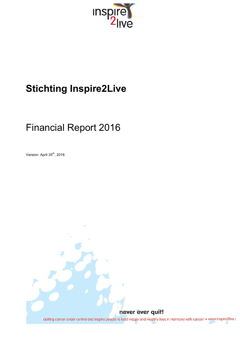

# **Stichting Inspire2Live**

# Financial Report 2016

Version: April 25<sup>th</sup>, 2016

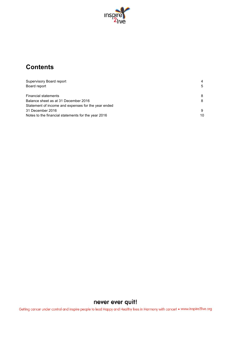

## **Contents**

| Supervisory Board report<br>Board report            | 4<br>5 |
|-----------------------------------------------------|--------|
| <b>Financial statements</b>                         | 8      |
| Balance sheet as at 31 December 2016                | 8      |
| Statement of income and expenses for the year ended |        |
| 31 December 2016                                    | 9      |
| Notes to the financial statements for the year 2016 | 10     |

## never ever quit!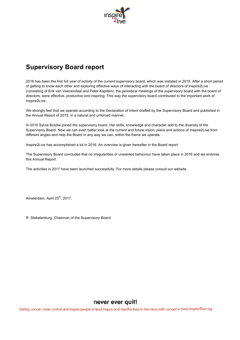

## **Supervisory Board report**

2016 has been the first full year of activity of the current supervisory board, which was instated in 2015. After a short period of getting to know each other and exploring effective ways of interacting with the board of directors of Inspire2Live (consisting of Erik van Veenendaal and Peter Kapitein), the periodical meetings of the supervisory board with the board of directors, were effective, productive and inspiring. This way the supervisory board contributed to the important work of Inspire2Live.

We strongly feel that we operate according to the Declaration of Intent drafted by the Supervisory Board and published in the Annual Report of 2015, in a natural and unforced manner.

In 2016 Sylvia Butzke joined the supervisory board. Her skills, knowledge and character add to the diversity of the Supervisory Board. Now we can even better look at the current and future vision, plans and actions of Inspire2Live from different angles and help the Board in any way we can, within the frame we operate.

Inspire2Live has accomplished a lot in 2016. An overview is given hereafter in the Board report.

The Supervisory Board concludes that no irregularities or unwanted behaviour have taken place in 2016 and we endorse this Annual Report.

The activities in 2017 have been launched successfully. For more details please consult our website.

Amsterdam, April 25<sup>th</sup>, 2017.

R. Stekelenburg, Chairman of the Supervisory Board

## never ever quit!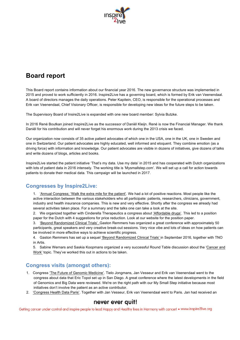

## **Board report**

This Board report contains information about our financial year 2016. The new governance structure was implemented in 2015 and proved to work sufficiently in 2016. Inspire2Live has a governing board, which is formed by Erik van Veenendaal. A board of directors manages the daily operations. Peter Kapitein, CEO, is responsible for the operational processes and Erik van Veenendaal, Chief Visionary Officer, is responsible for developing new ideas for the future steps to be taken.

The Supervisory Board of Insire2Live is expanded with one new board member: Sylvia Butzke.

In 2016 René Boutkan joined Inspire2Live as the successor of Daniël Kleijn. René is now the Financial Manager. We thank Daniël for his contribution and will never forget his enormous work during the 2013 crisis we faced.

Our organization now consists of 35 active patient advocates of which one in the USA, one in the UK, one in Sweden and one in Switzerland. Our patient advocates are highly educated, well informed and eloquent. They combine emotion (as a driving force) with information and knowledge. Our patient advocates are visible in dozens of initiatives, give dozens of talks and write dozens of blogs, articles and books.

Inspire2Live started the patient initiative 'That's my data. Use my data' in 2015 and has cooperated with Dutch organizations with lots of patient data in 2016 intensely. The working title is 'Mysmallstep.com'. We will set up a call for action towards patients to donate their medical data. This campaign will be launched in 2017.

## **Congresses by Inspire2Live:**

1. 'Annual Congress; 'Walk the extra mile for the patient'. We had a lot of positive reactions. Most people like the active interaction between the various stakeholders who all participate: patients, researchers, clinicians, government, industry and health insurance companies. This is new and very effective. Shortly after the congress we already had several activities taken place. For a summary and the talks one can take a look at the site.

2. We organized together with Cinderella Therapeutics a congress about 'Affordable drugs'. This led to a position paper for the Dutch with 4 suggestions for price reduction. Look at our website for the position paper.

3. 'Beyond Randomized Clinical Trials'. Gaston Remmers has organized a great conference with approximately 50 participants, great speakers and very creative break-out sessions. Very nice vibe and lots of ideas on how patients can be involved in more effective ways to achieve scientific progress.

4. Gaston Remmers has set up a sequel 'Beyond Randomized Clinical Trials' in September 2016, together with TNO in Artis.

5. Sabine Wernars and Saskia Koopmans organized a very successful Round Table discussion about the 'Cancer and Work' topic. They've worked this out in actions to be taken.

## **Congress visits (amongst others):**

- 1. Congress 'The Future of Genomic Medicine'. Tielo Jongmans, Jan Vesseur and Erik van Veenendaal went to the congress about data that Eric Topol set up in San Diego. A great conference where the latest developments in the field of Genomics and Big Data were reviewed. We're on the right path with our My Small Step initiative because most initiatives don't involve the patient as an active contributor.
- 2. 'Congress Health Data Paris'. Together with Jan Vesseur, Erik van Veenendaal went to Paris. Jan had received an

## never ever quit!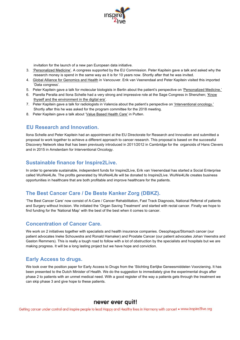

invitation for the launch of a new pan European data initiative.

- 3. 'Personalized Medicine'. A congress supported by the EU Commission. Peter Kapitein gave a talk and asked why the research money is spend in the same way as it is for 10 years now. Shortly after that he was invited.
- 4. Global Alliance for Genomics and Health in Vancouver. Erik van Veenendaal and Peter Kapitein visited this imported 'Data congress'.
- 5. Peter Kapitein gave a talk for molecular biologists in Berlin about the patient's perspective on 'Personalized Medicine.'
- 6. Piarella Peralta and Ilona Schelle had a very strong and impressive role at the Sage Congress in Shenzhen; *'Know* thyself and the environment in the digital era'.
- 7. Peter Kapitein gave a talk for radiologists in Valencia about the patient's perspective on 'Interventional oncology.' Shortly after this he was asked for the program committee for the 2018 meeting.
- 8. Peter Kapitein gave a talk about 'Value Based Health Care' in Putten.

### **EU Research and Innovation.**

Ilona Schelle and Peter Kapitein had an appointment at the EU Directorate for Research and Innovation and submitted a proposal to work together to achieve a different approach to cancer research. This proposal is based on the successful Discovery Network idea that has been previously introduced in 2011/2012 in Cambridge for the organoids of Hans Clevers and in 2015 in Amsterdam for Interventional Oncology.

### **Sustainable finance for Inspire2Live.**

In order to generate sustainable, independent funds for Inspire2Live, Erik van Veenendaal has started a Social Enterprise called WuWei4Life. The profits generated by WuWei4Life will be donated to Inspire2Live. WuWei4Life creates business opportunities in healthcare that are both profitable and improve healthcare for the patients.

## **The Best Cancer Care / De Beste Kanker Zorg (DBKZ).**

'The Best Cancer Care' now consist of A-Care / Cancer Rehabilitation, Fast Track Diagnosis, National Referral of patients and Surgery without Incision. We initiated the 'Organ Saving Treatment' and started with rectal cancer. Finally we hope to find funding for the 'National Map' with the best of the best when it comes to cancer.

### **Concentration of Cancer Care.**

We work on 2 initiatives together with specialists and health insurance companies. Oesophagus/Stomach cancer (our patient advocates Ineke Schouwstra and Ronald Hamaker) and Prostate Cancer (our patient advocates Johan Veenstra and Gaston Remmers). This is really a tough road to follow with a lot of obstruction by the specialists and hospitals but we are making progress. It will be a long lasting project but we have hope and conviction.

### **Early Access to drugs.**

We took over the position paper for Early Access to Drugs from the 'Stichting Eerlijke Geneesmiddelen Voorziening. It has been presented to the Dutch Minister of Health. We do the suggestion to immediately give the experimental drugs after phase 2 to patients with an unmet medical need. With a good register of the way a patients gets through the treatment we can skip phase 3 and give hope to these patients.

### never ever quit!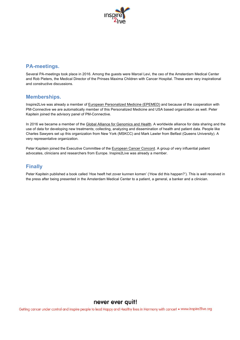

## **PA-meetings.**

Several PA-meetings took place in 2016. Among the guests were Marcel Levi, the ceo of the Amsterdam Medical Center and Rob Pieters, the Medical Director of the Prinses Maxima Children with Cancer Hospital. These were very inspirational and constructive discussions.

### **Memberships.**

Inspire2Live was already a member of European Personalized Medicine (EPEMED) and because of the cooperation with PM-Connective we are automatically member of this Personalized Medicine and USA based organization as well. Peter Kapitein joined the advisory panel of PM-Connective.

In 2016 we became a member of the Global Alliance for Genomics and Health. A worldwide alliance for data sharing and the use of data for developing new treatments; collecting, analyzing and dissemination of health and patient data. People like Charles Sawyers set up this organization from New York (MSKCC) and Mark Lawler from Belfast (Queens University). A very representative organization.

Peter Kapitein joined the Executive Committee of the European Cancer Concord. A group of very influential patient advocates, clinicians and researchers from Europe. Inspire2Live was already a member.

## **Finally**

Peter Kapitein published a book called 'Hoe heeft het zover kunnen komen' ('How did this happen?'). This is well received in the press after being presented in the Amsterdam Medical Center to a patient, a general, a banker and a clinician.

## never ever quit!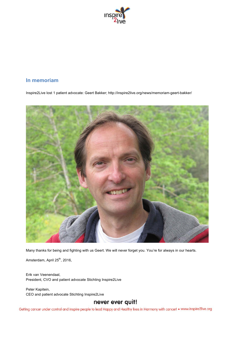

## **In memoriam**

Inspire2Live lost 1 patient advocate: Geert Bakker; http://inspire2live.org/news/memoriam-geert-bakker/



Many thanks for being and fighting with us Geert. We will never forget you. You're for always in our hearts.

Amsterdam, April 25<sup>th</sup>, 2016,

Erik van Veenendaal, President, CVO and patient advocate Stichting Inspire2Live

Peter Kapitein, CEO and patient advocate Stichting Inspire2Live

## never ever quit!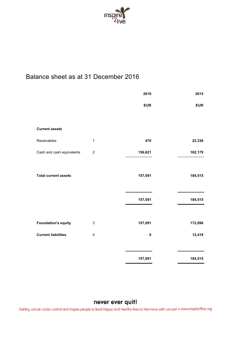

## Balance sheet as at 31 December 2016

|                             |                            | 2016       | 2015       |
|-----------------------------|----------------------------|------------|------------|
|                             |                            | <b>EUR</b> | <b>EUR</b> |
|                             |                            |            |            |
| <b>Current assets</b>       |                            |            |            |
| Receivables                 | $\boldsymbol{\mathcal{L}}$ | 470        | 22,336     |
| Cash and cash equivalents   | $\overline{c}$             | 156,621    | 162,179    |
|                             |                            |            |            |
| <b>Total current assets</b> |                            | 157,091    | 184,515    |
|                             |                            |            |            |
|                             |                            | 157,091    | 184,515    |
|                             |                            |            |            |
| <b>Foundation's equity</b>  | $\mathfrak{Z}$             | 157,091    | 172,096    |
| <b>Current liabilities</b>  | 4                          | $\pmb{0}$  | 12,419     |
|                             |                            |            |            |
|                             |                            | 157,091    | 184,515    |

## never ever quit!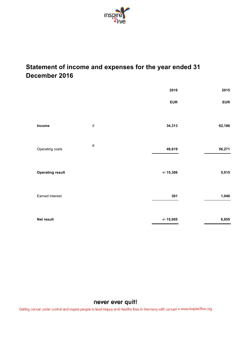

## **Statement of income and expenses for the year ended 31 December 2016**

|                         |                  | 2016          | 2015       |
|-------------------------|------------------|---------------|------------|
|                         |                  | <b>EUR</b>    | <b>EUR</b> |
| Income                  | $\sqrt{5}$       | 34,313        | 62,186     |
| Operating costs         | $\boldsymbol{6}$ | 49,619        | 56,271     |
| <b>Operating result</b> |                  | $-1 - 15,306$ | 5,915      |
| Earned interest         |                  | 301           | 1,040      |
| Net result              |                  | $-1 - 15,005$ | 6,955      |

## never ever quit!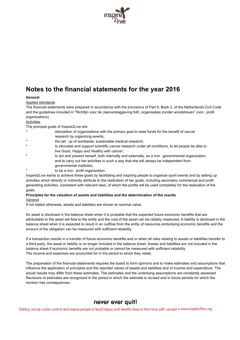

## **Notes to the financial statements for the year 2016**

### **General**

#### Applied standards

The financial statements were prepared in accordance with the provisions of Part 9, Book 2, of the Netherlands Civil Code and the guidelines included in "Richtlijn voor de Jaarverslaggeving 640, organisaties zonder winststreven" (non‑ profit organizations).

#### Activities

The principal goals of Inspire2Live are:

- stimulation of organizations with the primary goal to raise funds for the benefit of cancer research by organizing events;
- the set- up of worldwide, sustainable medical research;
- to stimulate and support scientific cancer research under all conditions, to let people be able to live Good, Happy and Healthy with cancer;
- to act and present herself, both internally and externally, as a non-governmental organization, and to carry out her activities in such a way that she will always be independent from governmental institutes;
- to be a non- profit organization.

Inspire2Live wants to achieve these goals by facilitating and inspiring people to organize sport events and by setting up activities which directly or indirectly attribute to the realization of her goals, including secondary commercial and profit generating activities, consistent with relevant laws, of which the profits will be used completely for the realization of the goals.

### **Principles for the valuation of assets and liabilities and the determination of the results** General

If not stated otherwise, assets and liabilities are shown at nominal value.

An asset is disclosed in the balance sheet when it is probable that the expected future economic benefits that are attributable to the asset will flow to the entity and the cost of the asset can be reliably measured. A liability is disclosed in the balance sheet when it is expected to result in an outflow from the entity of resources embodying economic benefits and the amount of the obligation can be measured with sufficient reliability.

If a transaction results in a transfer of future economic benefits and or when all risks relating to assets or liabilities transfer to a third party, the asset or liability is no longer included in the balance sheet. Assets and liabilities are not included in the balance sheet if economic benefits are not probable or cannot be measured with sufficient reliability. The income and expenses are accounted for in the period to which they relate.

The preparation of the financial statements requires the board to form opinions and to make estimates and assumptions that influence the application of principles and the reported values of assets and liabilities and of income and expenditure. The actual results may differ from these estimates. The estimates and the underlying assumptions are constantly assessed. Revisions of estimates are recognized in the period in which the estimate is revised and in future periods for which the revision has consequences.

### never ever quit!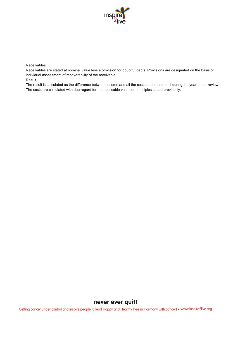

#### Receivables

Receivables are stated at nominal value less a provision for doubtful debts. Provisions are designated on the basis of individual assessment of recoverability of the receivable.

### **Result**

The result is calculated as the difference between income and all the costs attributable to it during the year under review. The costs are calculated with due regard for the applicable valuation principles stated previously.

## never ever quit!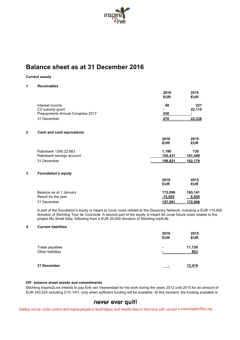

## **Balance sheet as at 31 December 2016**

### **Current assets**

### *1 Receivables*

|                |                                  | 2016           | 2015           |
|----------------|----------------------------------|----------------|----------------|
|                |                                  | <b>EUR</b>     | <b>EUR</b>     |
|                | Interest income                  | 40             | 221            |
|                | CZ subsidy grant                 |                | 22,115         |
|                | Prepayments Annual Congress 2017 | 430            |                |
|                | 31 December                      | 470            | 22,336         |
| $\overline{2}$ | <b>Cash and cash equivalents</b> |                |                |
|                |                                  | 2016           | 2015           |
|                |                                  | <b>EUR</b>     | <b>EUR</b>     |
|                | Rabobank 1356.22.883             | 1,190          | 730            |
|                | Rabobank savings account         | 155,431        | <u>161,449</u> |
|                | 31 December                      | <u>156,621</u> | 162.179        |
| 3              | <b>Foundation's equity</b>       |                |                |
|                |                                  | 2016           | 2015           |
|                |                                  | <b>EUR</b>     | <b>EUR</b>     |
|                | Balance as at 1 January          | 172,096        | 165,141        |
|                | Result for the year              | <u>-15,005</u> | 6,955          |
|                | 31 December                      | 157.091        | 172,096        |

A part of the foundation's equity is meant to cover costs related to the Discovery Network, including a EUR 110,000 donation of Stichting Tour de Concorde. A second part of the equity is meant tot cover future costs related to the project My Small Step, following from a EUR 20,000 donation of Stichting Ice4Life.

### *4* **Current liabilities**

|                   | 2016<br><b>EUR</b>       | 2015<br><b>EUR</b> |
|-------------------|--------------------------|--------------------|
| Trade payables    | $\blacksquare$           | 11,726             |
| Other liabilities | $\overline{\phantom{a}}$ | 693                |
| 31 December       |                          | 12,419             |

### **Off**‑ **balance sheet assets and commitments**

Stichting Inspire2Live intends to pay Erik van Veenendaal for his work during the years 2012 until 2015 for an amount of EUR 243,525 including 21% VAT, only when sufficient funding will be available. At this moment, the funding available is

## never ever quit!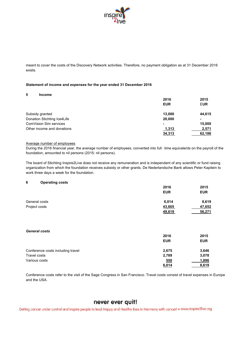

meant to cover the costs of the Discovery Network activities. Therefore, no payment obligation as at 31 December 2016 exists.

#### **Statement of income and expenses for the year ended 31 December 2016**

#### **5 Income**

|                             | 2016       | 2015       |
|-----------------------------|------------|------------|
|                             | <b>EUR</b> | <b>EUR</b> |
| Subsidy granted             | 13.000     | 44,615     |
| Donation Stichting Ice4Life | 20,000     | ۰          |
| ComVision Sim services      | ۰          | 15,000     |
| Other income and donations  | 1,313      | 2,571      |
|                             | 34,313     | 62,186     |

#### Average number of employees

During the 2016 financial year, the average number of employees, converted into full-time equivalents on the payroll of the foundation, amounted to nil persons (2015: nil persons).

The board of Stichting Inspire2Live does not receive any remuneration and is independent of any scientific or fund raising organization from which the foundation receives subsidy or other grants. De Nederlandsche Bank allows Peter Kapitein to work three days a week for the foundation.

#### **6 Operating costs**

|               | 2016       | 2015       |
|---------------|------------|------------|
|               | <b>EUR</b> | <b>EUR</b> |
| General costs | 6,014      | 8,619      |
| Project costs | 43,605     | 47,652     |
|               | 49,619     | 56,271     |

#### *General costs*

|                                   | 2016       | 2015       |
|-----------------------------------|------------|------------|
|                                   | <b>EUR</b> | <b>EUR</b> |
| Conference costs including travel | 2,675      | 3,646      |
| Travel costs                      | 2,789      | 3,078      |
| Various costs                     | 550        | 1,896      |
|                                   | 6,014      | 8,619      |

Conference costs refer to the visit of the Sage Congress in San Francisco. Travel costs consist of travel expenses in Europe and the USA.

## never ever quit!